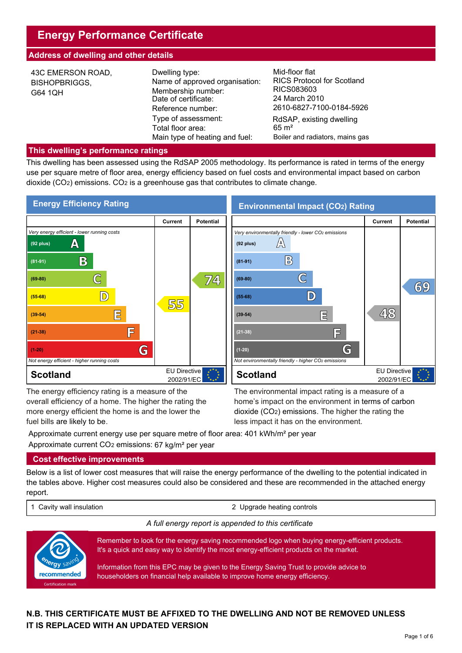# **Energy Performance Certificate**

### **Address of dwelling and other details**

| 43C EMERSON ROAD,<br><b>BISHOPBRIGGS,</b><br>G64 1QH | Dwelling type:<br>Name of approved organisation:<br>Membership number:<br>Date of certificate:<br>Reference number: | Mid-floor flat<br><b>RICS Protocol for Scotland</b><br>RICS083603<br>24 March 2010<br>2610-6827-7100-0184-5926 |
|------------------------------------------------------|---------------------------------------------------------------------------------------------------------------------|----------------------------------------------------------------------------------------------------------------|
|                                                      | Type of assessment:<br>Total floor area:<br>Main type of heating and fuel:                                          | RdSAP, existing dwelling<br>$65 \text{ m}^2$<br>Boiler and radiators, mains gas                                |

#### **This dwelling's performance ratings**

This dwelling has been assessed using the RdSAP 2005 methodology. Its performance is rated in terms of the energy use per square metre of floor area, energy efficiency based on fuel costs and environmental impact based on carbon dioxide (CO2) emissions. CO2 is a greenhouse gas that contributes to climate change.



The energy efficiency rating is a measure of the overall efficiency of a home. The higher the rating the more energy efficient the home is and the lower the

The energy efficiency rating is a measure of the The environmental impact rating is a measure of a<br>overall efficiency of a home. The higher the rating the home's impact on the environment in terms of carbon<br>more energy eff home's impact on the environment in terms of carbon dioxide (CO2) emissions. The higher the rating the less impact it has on the environment.

Approximate current energy use per square metre of floor area: 401 kWh/m² per year Approximate current CO2 emissions: 67 kg/m² per year

### **Cost effective improvements**

Below is a list of lower cost measures that will raise the energy performance of the dwelling to the potential indicated in the tables above. Higher cost measures could also be considered and these are recommended in the attached energy report.

1 Cavity wall insulation 2 Upgrade heating controls

#### *A full energy report is appended to this certificate*



Remember to look for the energy saving recommended logo when buying energy-efficient products. It's a quick and easy way to identify the most energy-efficient products on the market.

Information from this EPC may be given to the Energy Saving Trust to provide advice to householders on financial help available to improve home energy efficiency.

## **N.B. THIS CERTIFICATE MUST BE AFFIXED TO THE DWELLING AND NOT BE REMOVED UNLESS IT IS REPLACED WITH AN UPDATED VERSION**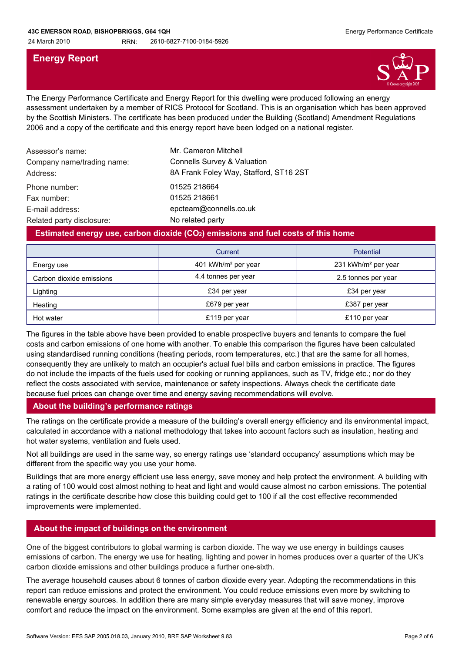# **Energy Report**



The Energy Performance Certificate and Energy Report for this dwelling were produced following an energy assessment undertaken by a member of RICS Protocol for Scotland. This is an organisation which has been approved by the Scottish Ministers. The certificate has been produced under the Building (Scotland) Amendment Regulations 2006 and a copy of the certificate and this energy report have been lodged on a national register.

| Assessor's name:<br>Company name/trading name:<br>Address: | Mr. Cameron Mitchell<br><b>Connells Survey &amp; Valuation</b><br>8A Frank Foley Way, Stafford, ST16 2ST |
|------------------------------------------------------------|----------------------------------------------------------------------------------------------------------|
| Phone number:                                              | 01525 218664                                                                                             |
| Fax number:                                                | 01525 218661                                                                                             |
| E-mail address:                                            | epcteam@connells.co.uk                                                                                   |
| Related party disclosure:                                  | No related party                                                                                         |

### **Estimated energy use, carbon dioxide (CO2) emissions and fuel costs of this home**

|                          | Current                         | <b>Potential</b>                |
|--------------------------|---------------------------------|---------------------------------|
| Energy use               | 401 kWh/m <sup>2</sup> per year | 231 kWh/m <sup>2</sup> per year |
| Carbon dioxide emissions | 4.4 tonnes per year             | 2.5 tonnes per year             |
| Lighting                 | £34 per year                    | £34 per year                    |
| Heating                  | £679 per year                   | £387 per year                   |
| Hot water                | £119 per year                   | £110 per year                   |

The figures in the table above have been provided to enable prospective buyers and tenants to compare the fuel costs and carbon emissions of one home with another. To enable this comparison the figures have been calculated using standardised running conditions (heating periods, room temperatures, etc.) that are the same for all homes, consequently they are unlikely to match an occupier's actual fuel bills and carbon emissions in practice. The figures do not include the impacts of the fuels used for cooking or running appliances, such as TV, fridge etc.; nor do they reflect the costs associated with service, maintenance or safety inspections. Always check the certificate date because fuel prices can change over time and energy saving recommendations will evolve.

### **About the building's performance ratings**

The ratings on the certificate provide a measure of the building's overall energy efficiency and its environmental impact, calculated in accordance with a national methodology that takes into account factors such as insulation, heating and hot water systems, ventilation and fuels used.

Not all buildings are used in the same way, so energy ratings use 'standard occupancy' assumptions which may be different from the specific way you use your home.

Buildings that are more energy efficient use less energy, save money and help protect the environment. A building with a rating of 100 would cost almost nothing to heat and light and would cause almost no carbon emissions. The potential ratings in the certificate describe how close this building could get to 100 if all the cost effective recommended improvements were implemented.

### **About the impact of buildings on the environment**

One of the biggest contributors to global warming is carbon dioxide. The way we use energy in buildings causes emissions of carbon. The energy we use for heating, lighting and power in homes produces over a quarter of the UK's carbon dioxide emissions and other buildings produce a further one-sixth.

The average household causes about 6 tonnes of carbon dioxide every year. Adopting the recommendations in this report can reduce emissions and protect the environment. You could reduce emissions even more by switching to renewable energy sources. In addition there are many simple everyday measures that will save money, improve comfort and reduce the impact on the environment. Some examples are given at the end of this report.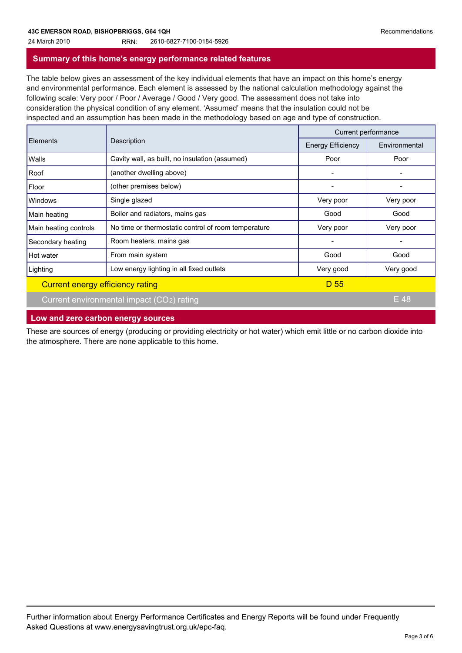### **Summary of this home's energy performance related features**

The table below gives an assessment of the key individual elements that have an impact on this home's energy and environmental performance. Each element is assessed by the national calculation methodology against the following scale: Very poor / Poor / Average / Good / Very good. The assessment does not take into consideration the physical condition of any element. 'Assumed' means that the insulation could not be inspected and an assumption has been made in the methodology based on age and type of construction.

|                                  |                                                     | Current performance<br><b>Energy Efficiency</b><br>Environmental<br>Poor<br>Poor |           |
|----------------------------------|-----------------------------------------------------|----------------------------------------------------------------------------------|-----------|
| <b>Elements</b>                  | Description                                         |                                                                                  |           |
| Walls                            | Cavity wall, as built, no insulation (assumed)      |                                                                                  |           |
| Roof                             | (another dwelling above)                            |                                                                                  |           |
| <b>IFloor</b>                    | (other premises below)                              | $\qquad \qquad \blacksquare$                                                     |           |
| <b>Windows</b>                   | Single glazed                                       | Very poor                                                                        | Very poor |
| Main heating                     | Boiler and radiators, mains gas                     | Good                                                                             | Good      |
| Main heating controls            | No time or thermostatic control of room temperature | Very poor                                                                        | Very poor |
| Secondary heating                | Room heaters, mains gas                             |                                                                                  |           |
| Hot water                        | From main system                                    | Good                                                                             | Good      |
| Lighting                         | Low energy lighting in all fixed outlets            | Very good                                                                        | Very good |
| Current energy efficiency rating |                                                     | D 55                                                                             |           |
|                                  | Current environmental impact (CO2) rating           |                                                                                  | E 48      |

#### **Low and zero carbon energy sources**

These are sources of energy (producing or providing electricity or hot water) which emit little or no carbon dioxide into the atmosphere. There are none applicable to this home.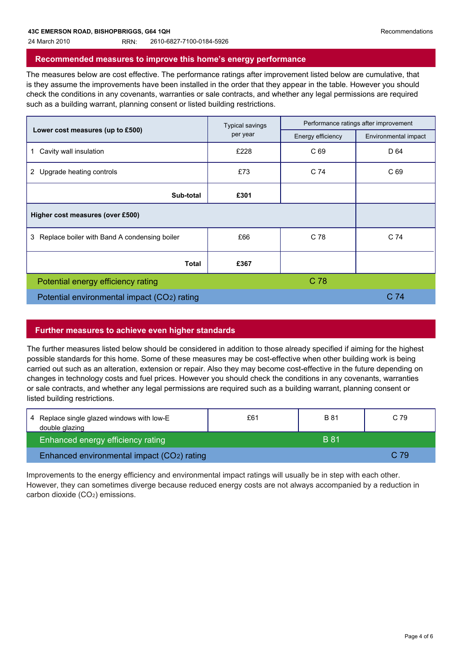#### **Recommended measures to improve this home's energy performance**

The measures below are cost effective. The performance ratings after improvement listed below are cumulative, that is they assume the improvements have been installed in the order that they appear in the table. However you should check the conditions in any covenants, warranties or sale contracts, and whether any legal permissions are required such as a building warrant, planning consent or listed building restrictions.

|                                                | <b>Typical savings</b><br>per year | Performance ratings after improvement |                                      |
|------------------------------------------------|------------------------------------|---------------------------------------|--------------------------------------|
| Lower cost measures (up to £500)               |                                    | Energy efficiency                     | Environmental impact<br>D 64<br>C 69 |
| Cavity wall insulation<br>1.                   | £228                               | C 69                                  |                                      |
| Upgrade heating controls<br>$\mathbf{2}$       | £73                                | C 74                                  |                                      |
| Sub-total                                      | £301                               |                                       |                                      |
| Higher cost measures (over £500)               |                                    |                                       |                                      |
| 3 Replace boiler with Band A condensing boiler | £66                                | C 78                                  | C 74                                 |
| <b>Total</b>                                   | £367                               |                                       |                                      |
| Potential energy efficiency rating             |                                    | C 78                                  |                                      |
| Potential environmental impact (CO2) rating    |                                    |                                       | C 74                                 |

### **Further measures to achieve even higher standards**

The further measures listed below should be considered in addition to those already specified if aiming for the highest possible standards for this home. Some of these measures may be cost-effective when other building work is being carried out such as an alteration, extension or repair. Also they may become cost-effective in the future depending on changes in technology costs and fuel prices. However you should check the conditions in any covenants, warranties or sale contracts, and whether any legal permissions are required such as a building warrant, planning consent or listed building restrictions.

| 4 Replace single glazed windows with low-E<br>double glazing | £61 | <b>B</b> 81 | C 79 |  |
|--------------------------------------------------------------|-----|-------------|------|--|
| Enhanced energy efficiency rating                            |     | <b>B</b> 81 |      |  |
| Enhanced environmental impact (CO2) rating                   |     |             | C 79 |  |

Improvements to the energy efficiency and environmental impact ratings will usually be in step with each other. However, they can sometimes diverge because reduced energy costs are not always accompanied by a reduction in carbon dioxide (CO<sub>2</sub>) emissions.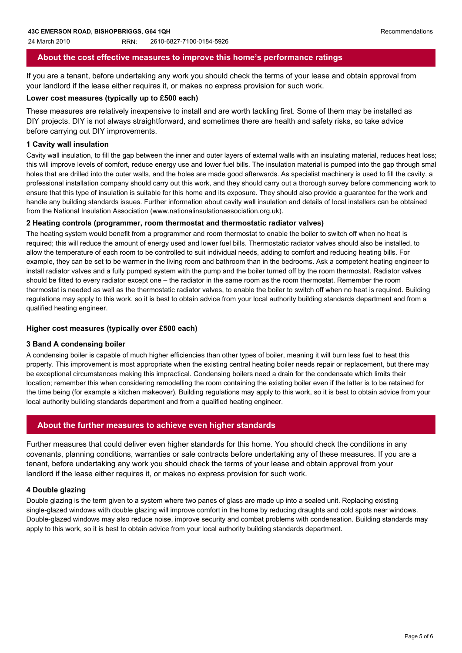#### **About the cost effective measures to improve this home's performance ratings**

If you are a tenant, before undertaking any work you should check the terms of your lease and obtain approval from your landlord if the lease either requires it, or makes no express provision for such work.

#### **Lower cost measures (typically up to £500 each)**

These measures are relatively inexpensive to install and are worth tackling first. Some of them may be installed as DIY projects. DIY is not always straightforward, and sometimes there are health and safety risks, so take advice before carrying out DIY improvements.

#### **1 Cavity wall insulation**

Cavity wall insulation, to fill the gap between the inner and outer layers of external walls with an insulating material, reduces heat loss; this will improve levels of comfort, reduce energy use and lower fuel bills. The insulation material is pumped into the gap through small holes that are drilled into the outer walls, and the holes are made good afterwards. As specialist machinery is used to fill the cavity, a professional installation company should carry out this work, and they should carry out a thorough survey before commencing work to ensure that this type of insulation is suitable for this home and its exposure. They should also provide a guarantee for the work and handle any building standards issues. Further information about cavity wall insulation and details of local installers can be obtained from the National Insulation Association (www.nationalinsulationassociation.org.uk).

#### **2 Heating controls (programmer, room thermostat and thermostatic radiator valves)**

The heating system would benefit from a programmer and room thermostat to enable the boiler to switch off when no heat is required; this will reduce the amount of energy used and lower fuel bills. Thermostatic radiator valves should also be installed, to allow the temperature of each room to be controlled to suit individual needs, adding to comfort and reducing heating bills. For example, they can be set to be warmer in the living room and bathroom than in the bedrooms. Ask a competent heating engineer to install radiator valves and a fully pumped system with the pump and the boiler turned off by the room thermostat. Radiator valves should be fitted to every radiator except one – the radiator in the same room as the room thermostat. Remember the room thermostat is needed as well as the thermostatic radiator valves, to enable the boiler to switch off when no heat is required. Building regulations may apply to this work, so it is best to obtain advice from your local authority building standards department and from a qualified heating engineer.

#### **Higher cost measures (typically over £500 each)**

#### **3 Band A condensing boiler**

A condensing boiler is capable of much higher efficiencies than other types of boiler, meaning it will burn less fuel to heat this property. This improvement is most appropriate when the existing central heating boiler needs repair or replacement, but there may be exceptional circumstances making this impractical. Condensing boilers need a drain for the condensate which limits their location; remember this when considering remodelling the room containing the existing boiler even if the latter is to be retained for the time being (for example a kitchen makeover). Building regulations may apply to this work, so it is best to obtain advice from your local authority building standards department and from a qualified heating engineer.

#### **About the further measures to achieve even higher standards**

Further measures that could deliver even higher standards for this home. You should check the conditions in any covenants, planning conditions, warranties or sale contracts before undertaking any of these measures. If you are a tenant, before undertaking any work you should check the terms of your lease and obtain approval from your landlord if the lease either requires it, or makes no express provision for such work.

#### **4 Double glazing**

Double glazing is the term given to a system where two panes of glass are made up into a sealed unit. Replacing existing single-glazed windows with double glazing will improve comfort in the home by reducing draughts and cold spots near windows. Double-glazed windows may also reduce noise, improve security and combat problems with condensation. Building standards may apply to this work, so it is best to obtain advice from your local authority building standards department.